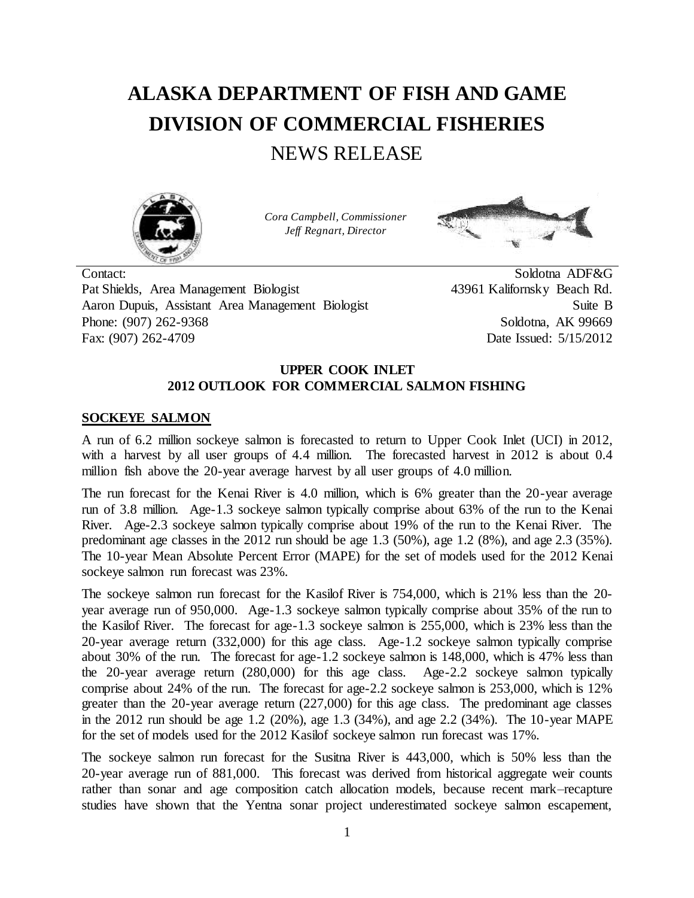# **ALASKA DEPARTMENT OF FISH AND GAME DIVISION OF COMMERCIAL FISHERIES** NEWS RELEASE



*Cora Campbell, Commissioner Jeff Regnart, Director*



Contact: Soldotna ADF&G<br>Pat Shields, Area Management Biologist 43961 Kalifornsky Beach Rd. Pat Shields, Area Management Biologist Aaron Dupuis, Assistant Area Management Biologist Suite B Phone: (907) 262-9368 Soldotna, AK 99669 Fax: (907) 262-4709 Date Issued: 5/15/2012

## **UPPER COOK INLET 2012 OUTLOOK FOR COMMERCIAL SALMON FISHING**

# **SOCKEYE SALMON**

A run of 6.2 million sockeye salmon is forecasted to return to Upper Cook Inlet (UCI) in 2012, with a harvest by all user groups of 4.4 million. The forecasted harvest in 2012 is about 0.4 million fish above the 20-year average harvest by all user groups of 4.0 million.

The run forecast for the Kenai River is 4.0 million, which is 6% greater than the 20-year average run of 3.8 million. Age-1.3 sockeye salmon typically comprise about 63% of the run to the Kenai River. Age-2.3 sockeye salmon typically comprise about 19% of the run to the Kenai River. The predominant age classes in the 2012 run should be age 1.3 (50%), age 1.2 (8%), and age 2.3 (35%). The 10-year Mean Absolute Percent Error (MAPE) for the set of models used for the 2012 Kenai sockeye salmon run forecast was 23%.

The sockeye salmon run forecast for the Kasilof River is 754,000, which is 21% less than the 20 year average run of 950,000. Age-1.3 sockeye salmon typically comprise about 35% of the run to the Kasilof River. The forecast for age-1.3 sockeye salmon is 255,000, which is 23% less than the 20-year average return (332,000) for this age class. Age-1.2 sockeye salmon typically comprise about 30% of the run. The forecast for age-1.2 sockeye salmon is 148,000, which is 47% less than the 20-year average return (280,000) for this age class. Age-2.2 sockeye salmon typically comprise about 24% of the run. The forecast for age-2.2 sockeye salmon is 253,000, which is 12% greater than the 20-year average return (227,000) for this age class. The predominant age classes in the 2012 run should be age 1.2 (20%), age 1.3 (34%), and age 2.2 (34%). The 10-year MAPE for the set of models used for the 2012 Kasilof sockeye salmon run forecast was 17%.

The sockeye salmon run forecast for the Susitna River is 443,000, which is 50% less than the 20-year average run of 881,000. This forecast was derived from historical aggregate weir counts rather than sonar and age composition catch allocation models, because recent mark–recapture studies have shown that the Yentna sonar project underestimated sockeye salmon escapement,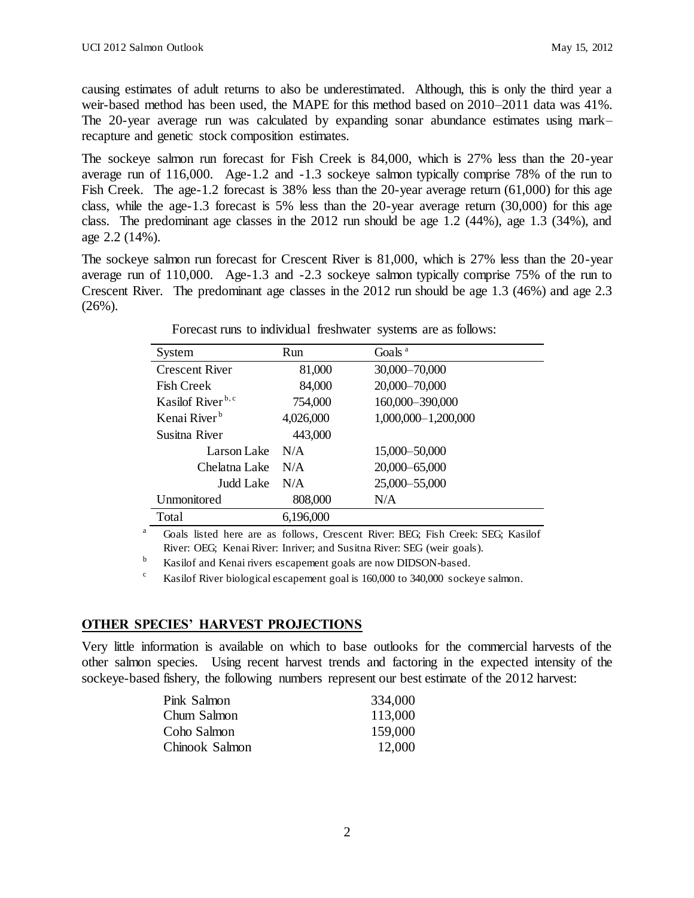causing estimates of adult returns to also be underestimated. Although, this is only the third year a weir-based method has been used, the MAPE for this method based on 2010–2011 data was 41%. The 20-year average run was calculated by expanding sonar abundance estimates using mark– recapture and genetic stock composition estimates.

The sockeye salmon run forecast for Fish Creek is 84,000, which is 27% less than the 20-year average run of 116,000. Age-1.2 and -1.3 sockeye salmon typically comprise 78% of the run to Fish Creek. The age-1.2 forecast is 38% less than the 20-year average return (61,000) for this age class, while the age-1.3 forecast is 5% less than the 20-year average return (30,000) for this age class. The predominant age classes in the  $2012$  run should be age 1.2 (44%), age 1.3 (34%), and age 2.2 (14%).

The sockeye salmon run forecast for Crescent River is 81,000, which is 27% less than the 20-year average run of 110,000. Age-1.3 and -2.3 sockeye salmon typically comprise 75% of the run to Crescent River. The predominant age classes in the 2012 run should be age 1.3 (46%) and age 2.3  $(26\%)$ .

| System                        | <b>Run</b> | Goals <sup>a</sup>  |
|-------------------------------|------------|---------------------|
| <b>Crescent River</b>         | 81,000     | 30,000-70,000       |
| <b>Fish Creek</b>             | 84,000     | 20,000-70,000       |
| Kasilof River <sup>b, c</sup> | 754,000    | 160,000-390,000     |
| Kenai River <sup>b</sup>      | 4,026,000  | 1,000,000-1,200,000 |
| Susitna River                 | 443,000    |                     |
| Larson Lake                   | N/A        | 15,000-50,000       |
| Chelatna Lake                 | N/A        | 20,000-65,000       |
| Judd Lake                     | N/A        | 25,000 - 55,000     |
| Unmonitored                   | 808,000    | N/A                 |
| Total                         | 6,196,000  |                     |

Forecast runs to individual freshwater systems are as follows:

<sup>a</sup> Goals listed here are as follows, Crescent River: BEG; Fish Creek: SEG; Kasilof River: OEG; Kenai River: Inriver; and Susitna River: SEG (weir goals).

<sup>b</sup> Kasilof and Kenai rivers escapement goals are now DIDSON-based.

<sup>c</sup> Kasilof River biological escapement goal is 160,000 to 340,000 sockeye salmon.

# **OTHER SPECIES' HARVEST PROJECTIONS**

Very little information is available on which to base outlooks for the commercial harvests of the other salmon species. Using recent harvest trends and factoring in the expected intensity of the sockeye-based fishery, the following numbers represent our best estimate of the 2012 harvest:

| Pink Salmon    | 334,000 |
|----------------|---------|
| Chum Salmon    | 113,000 |
| Coho Salmon    | 159,000 |
| Chinook Salmon | 12,000  |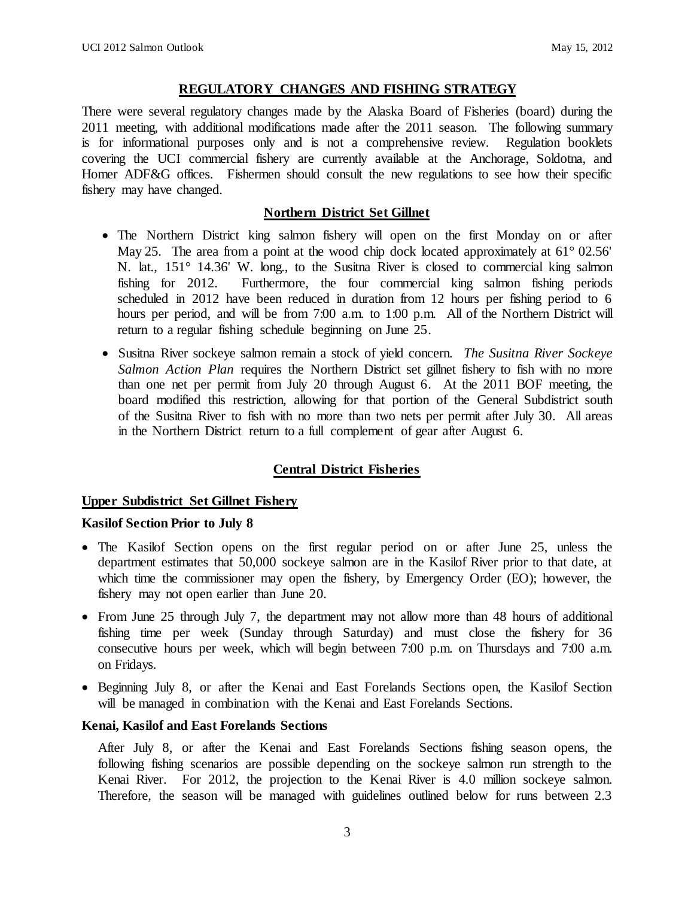## **REGULATORY CHANGES AND FISHING STRATEGY**

There were several regulatory changes made by the Alaska Board of Fisheries (board) during the 2011 meeting, with additional modifications made after the 2011 season. The following summary is for informational purposes only and is not a comprehensive review. Regulation booklets covering the UCI commercial fishery are currently available at the Anchorage, Soldotna, and Homer ADF&G offices. Fishermen should consult the new regulations to see how their specific fishery may have changed.

## **Northern District Set Gillnet**

- The Northern District king salmon fishery will open on the first Monday on or after May 25. The area from a point at the wood chip dock located approximately at  $61^{\circ}$  02.56' N. lat., 151° 14.36' W. long., to the Susitna River is closed to commercial king salmon fishing for 2012. Furthermore, the four commercial king salmon fishing periods scheduled in 2012 have been reduced in duration from 12 hours per fishing period to 6 hours per period, and will be from 7:00 a.m. to 1:00 p.m. All of the Northern District will return to a regular fishing schedule beginning on June 25.
- Susitna River sockeye salmon remain a stock of yield concern. *The Susitna River Sockeye Salmon Action Plan* requires the Northern District set gillnet fishery to fish with no more than one net per permit from July 20 through August 6. At the 2011 BOF meeting, the board modified this restriction, allowing for that portion of the General Subdistrict south of the Susitna River to fish with no more than two nets per permit after July 30. All areas in the Northern District return to a full complement of gear after August 6.

## **Central District Fisheries**

## **Upper Subdistrict Set Gillnet Fishery**

#### **Kasilof Section Prior to July 8**

- The Kasilof Section opens on the first regular period on or after June 25, unless the department estimates that 50,000 sockeye salmon are in the Kasilof River prior to that date, at which time the commissioner may open the fishery, by Emergency Order (EO); however, the fishery may not open earlier than June 20.
- From June 25 through July 7, the department may not allow more than 48 hours of additional fishing time per week (Sunday through Saturday) and must close the fishery for 36 consecutive hours per week, which will begin between 7:00 p.m. on Thursdays and 7:00 a.m. on Fridays.
- Beginning July 8, or after the Kenai and East Forelands Sections open, the Kasilof Section will be managed in combination with the Kenai and East Forelands Sections.

#### **Kenai, Kasilof and East Forelands Sections**

After July 8, or after the Kenai and East Forelands Sections fishing season opens, the following fishing scenarios are possible depending on the sockeye salmon run strength to the Kenai River. For 2012, the projection to the Kenai River is 4.0 million sockeye salmon. Therefore, the season will be managed with guidelines outlined below for runs between 2.3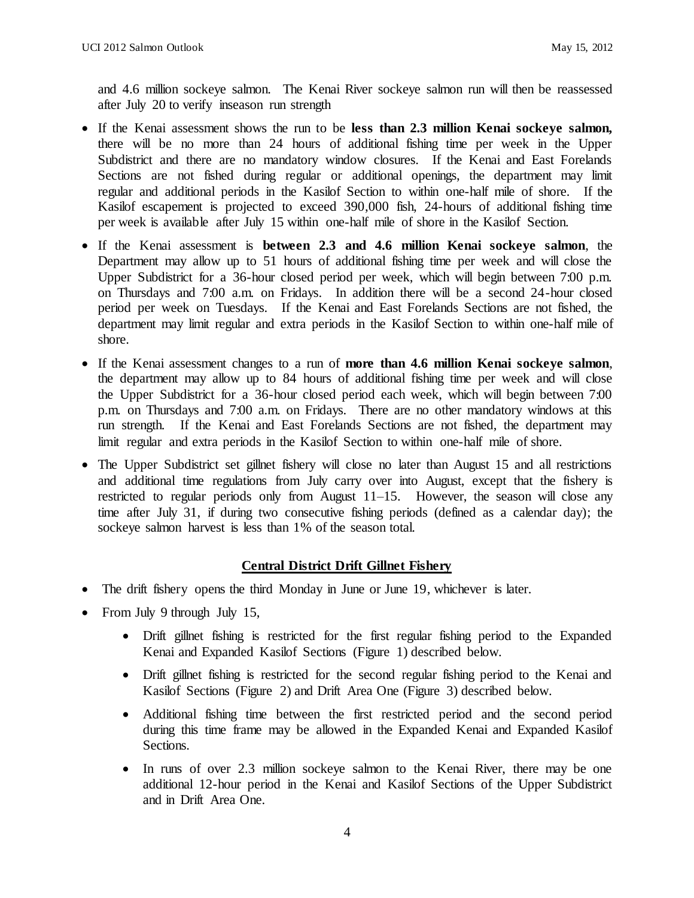and 4.6 million sockeye salmon. The Kenai River sockeye salmon run will then be reassessed after July 20 to verify inseason run strength

- If the Kenai assessment shows the run to be **less than 2.3 million Kenai sockeye salmon,** there will be no more than 24 hours of additional fishing time per week in the Upper Subdistrict and there are no mandatory window closures. If the Kenai and East Forelands Sections are not fished during regular or additional openings, the department may limit regular and additional periods in the Kasilof Section to within one-half mile of shore. If the Kasilof escapement is projected to exceed 390,000 fish, 24-hours of additional fishing time per week is available after July 15 within one-half mile of shore in the Kasilof Section.
- If the Kenai assessment is **between 2.3 and 4.6 million Kenai sockeye salmon**, the Department may allow up to 51 hours of additional fishing time per week and will close the Upper Subdistrict for a 36-hour closed period per week, which will begin between 7:00 p.m. on Thursdays and 7:00 a.m. on Fridays. In addition there will be a second 24-hour closed period per week on Tuesdays. If the Kenai and East Forelands Sections are not fished, the department may limit regular and extra periods in the Kasilof Section to within one-half mile of shore.
- If the Kenai assessment changes to a run of **more than 4.6 million Kenai sockeye salmon**, the department may allow up to 84 hours of additional fishing time per week and will close the Upper Subdistrict for a 36-hour closed period each week, which will begin between 7:00 p.m. on Thursdays and 7:00 a.m. on Fridays. There are no other mandatory windows at this run strength. If the Kenai and East Forelands Sections are not fished, the department may limit regular and extra periods in the Kasilof Section to within one-half mile of shore.
- The Upper Subdistrict set gillnet fishery will close no later than August 15 and all restrictions and additional time regulations from July carry over into August, except that the fishery is restricted to regular periods only from August 11–15. However, the season will close any time after July 31, if during two consecutive fishing periods (defined as a calendar day); the sockeye salmon harvest is less than 1% of the season total.

## **Central District Drift Gillnet Fishery**

- The drift fishery opens the third Monday in June or June 19, whichever is later.
- From July 9 through July 15,
	- Drift gillnet fishing is restricted for the first regular fishing period to the Expanded Kenai and Expanded Kasilof Sections (Figure 1) described below.
	- Drift gillnet fishing is restricted for the second regular fishing period to the Kenai and Kasilof Sections (Figure 2) and Drift Area One (Figure 3) described below.
	- Additional fishing time between the first restricted period and the second period during this time frame may be allowed in the Expanded Kenai and Expanded Kasilof Sections.
	- In runs of over 2.3 million sockeye salmon to the Kenai River, there may be one additional 12-hour period in the Kenai and Kasilof Sections of the Upper Subdistrict and in Drift Area One.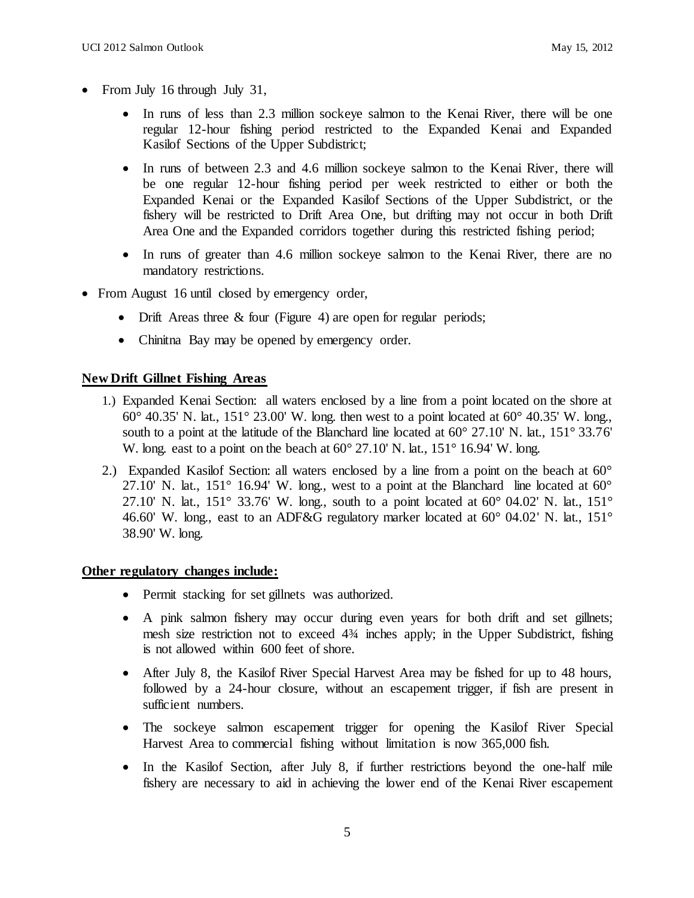- From July 16 through July 31,
	- In runs of less than 2.3 million sockeye salmon to the Kenai River, there will be one regular 12-hour fishing period restricted to the Expanded Kenai and Expanded Kasilof Sections of the Upper Subdistrict;
	- In runs of between 2.3 and 4.6 million sockeye salmon to the Kenai River, there will be one regular 12-hour fishing period per week restricted to either or both the Expanded Kenai or the Expanded Kasilof Sections of the Upper Subdistrict, or the fishery will be restricted to Drift Area One, but drifting may not occur in both Drift Area One and the Expanded corridors together during this restricted fishing period;
	- In runs of greater than 4.6 million sockeye salmon to the Kenai River, there are no mandatory restrictions.
- From August 16 until closed by emergency order,
	- Drift Areas three  $&$  four (Figure 4) are open for regular periods;
	- Chinitna Bay may be opened by emergency order.

## **New Drift Gillnet Fishing Areas**

- 1.) Expanded Kenai Section: all waters enclosed by a line from a point located on the shore at  $60^{\circ}$  40.35' N. lat., 151° 23.00' W. long. then west to a point located at  $60^{\circ}$  40.35' W. long. south to a point at the latitude of the Blanchard line located at  $60^{\circ}$  27.10' N. lat., 151° 33.76' W. long. east to a point on the beach at  $60^{\circ}$  27.10' N. lat., 151° 16.94' W. long.
- 2.) Expanded Kasilof Section: all waters enclosed by a line from a point on the beach at  $60^{\circ}$ 27.10' N. lat.,  $151^{\circ}$  16.94' W. long., west to a point at the Blanchard line located at  $60^{\circ}$ 27.10' N. lat., 151° 33.76' W. long., south to a point located at  $60^{\circ}$  04.02' N. lat., 151° 46.60' W. long., east to an ADF&G regulatory marker located at 60° 04.02' N. lat., 151° 38.90' W. long.

## **Other regulatory changes include:**

- Permit stacking for set gillnets was authorized.
- A pink salmon fishery may occur during even years for both drift and set gillnets; mesh size restriction not to exceed 4¾ inches apply; in the Upper Subdistrict, fishing is not allowed within 600 feet of shore.
- After July 8, the Kasilof River Special Harvest Area may be fished for up to 48 hours, followed by a 24-hour closure, without an escapement trigger, if fish are present in sufficient numbers.
- The sockeye salmon escapement trigger for opening the Kasilof River Special Harvest Area to commercial fishing without limitation is now 365,000 fish.
- In the Kasilof Section, after July 8, if further restrictions beyond the one-half mile fishery are necessary to aid in achieving the lower end of the Kenai River escapement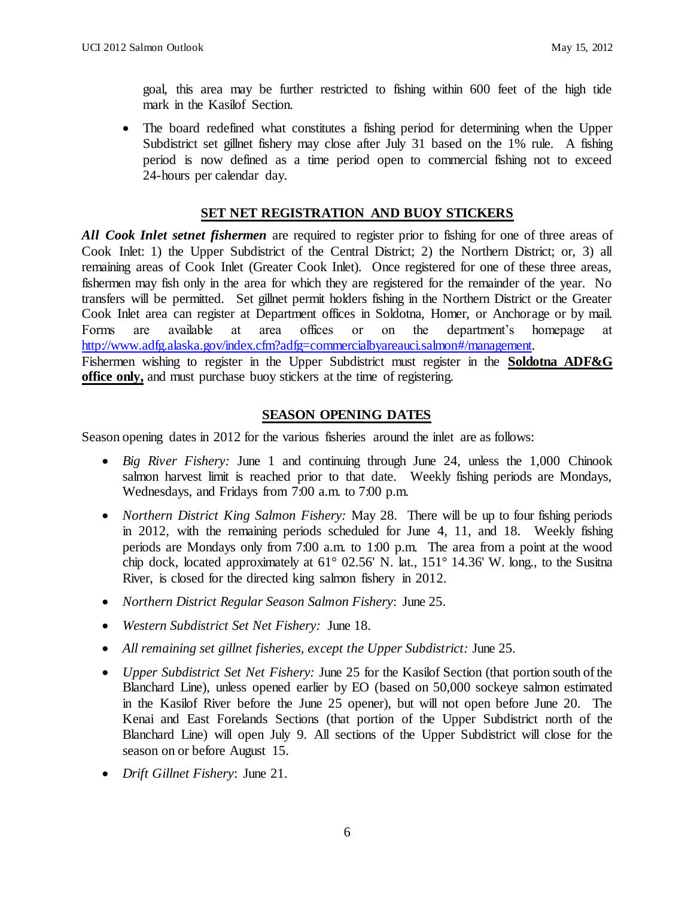goal, this area may be further restricted to fishing within 600 feet of the high tide mark in the Kasilof Section.

• The board redefined what constitutes a fishing period for determining when the Upper Subdistrict set gillnet fishery may close after July 31 based on the 1% rule. A fishing period is now defined as a time period open to commercial fishing not to exceed 24-hours per calendar day.

## **SET NET REGISTRATION AND BUOY STICKERS**

*All Cook Inlet setnet fishermen* are required to register prior to fishing for one of three areas of Cook Inlet: 1) the Upper Subdistrict of the Central District; 2) the Northern District; or, 3) all remaining areas of Cook Inlet (Greater Cook Inlet). Once registered for one of these three areas, fishermen may fish only in the area for which they are registered for the remainder of the year. No transfers will be permitted. Set gillnet permit holders fishing in the Northern District or the Greater Cook Inlet area can register at Department offices in Soldotna, Homer, or Anchorage or by mail. Forms are available at area offices or on the department's homepage at [http://www.adfg.alaska.gov/index.cfm?adfg=commercialbyareauci.salmon#/ma](http://www.adfg.alaska.gov/index.cfm?adfg=commercialbyareauci.salmon)nagement. Fishermen wishing to register in the Upper Subdistrict must register in the **Soldotna ADF&G office only,** and must purchase buoy stickers at the time of registering.

# **SEASON OPENING DATES**

Season opening dates in 2012 for the various fisheries around the inlet are as follows:

- *Big River Fishery:* June 1 and continuing through June 24, unless the 1,000 Chinook salmon harvest limit is reached prior to that date. Weekly fishing periods are Mondays, Wednesdays, and Fridays from 7:00 a.m. to 7:00 p.m.
- *Northern District King Salmon Fishery:* May 28. There will be up to four fishing periods in 2012, with the remaining periods scheduled for June 4, 11, and 18. Weekly fishing periods are Mondays only from 7:00 a.m. to 1:00 p.m. The area from a point at the wood chip dock, located approximately at 61° 02.56' N. lat., 151° 14.36' W. long., to the Susitna River, is closed for the directed king salmon fishery in 2012.
- *Northern District Regular Season Salmon Fishery*: June 25.
- *Western Subdistrict Set Net Fishery:* June 18.
- *All remaining set gillnet fisheries, except the Upper Subdistrict:* June 25.
- *Upper Subdistrict Set Net Fishery:* June 25 for the Kasilof Section (that portion south of the Blanchard Line), unless opened earlier by EO (based on 50,000 sockeye salmon estimated in the Kasilof River before the June 25 opener), but will not open before June 20. The Kenai and East Forelands Sections (that portion of the Upper Subdistrict north of the Blanchard Line) will open July 9. All sections of the Upper Subdistrict will close for the season on or before August 15.
- *Drift Gillnet Fishery*: June 21.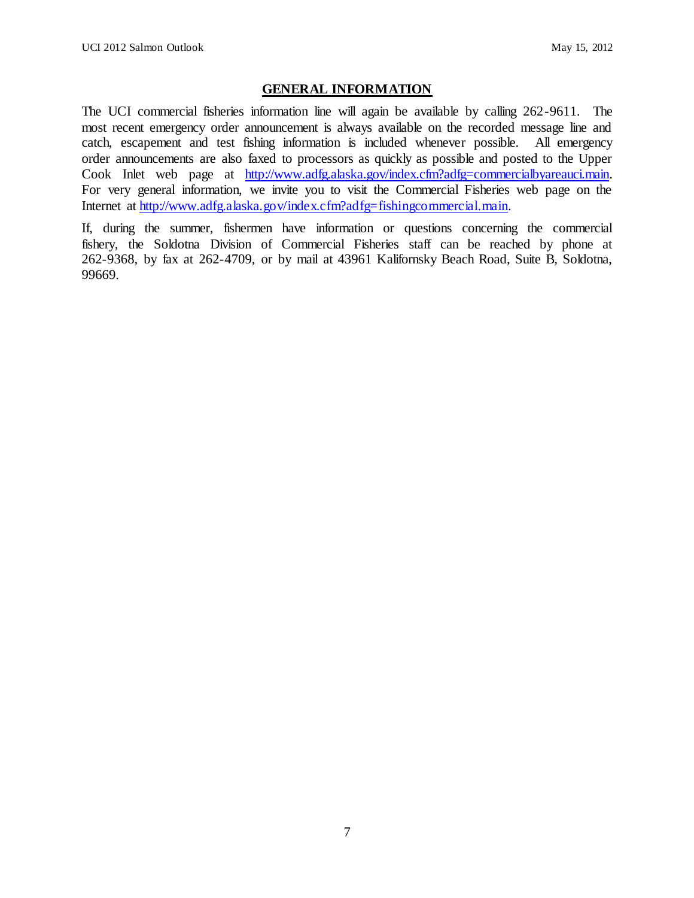# **GENERAL INFORMATION**

The UCI commercial fisheries information line will again be available by calling 262-9611. The most recent emergency order announcement is always available on the recorded message line and catch, escapement and test fishing information is included whenever possible. All emergency order announcements are also faxed to processors as quickly as possible and posted to the Upper Cook Inlet web page [at http://www.adfg.alaska.gov/index.cfm?adfg=commercialbyareauci.main.](http://www.adfg.alaska.gov/index.cfm?adfg=commercialbyareauci.main) For very general information, we invite you to visit the Commercial Fisheries web page on the Internet at [http://www.adfg.alaska.gov/index.cfm?adfg=fishingcommercial.main.](http://www.adfg.alaska.gov/index.cfm?adfg=fishingcommercial.main)

If, during the summer, fishermen have information or questions concerning the commercial fishery, the Soldotna Division of Commercial Fisheries staff can be reached by phone at 262-9368, by fax at 262-4709, or by mail at 43961 Kalifornsky Beach Road, Suite B, Soldotna, 99669.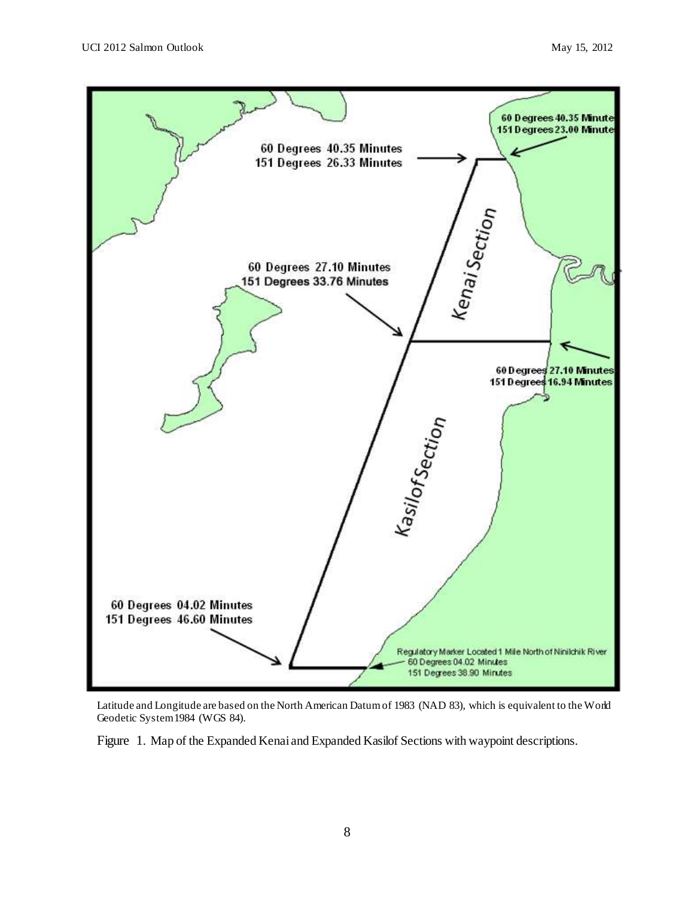

Latitude and Longitude are based on the North American Datum of 1983 (NAD 83), which is equivalent to the World Geodetic System 1984 (WGS 84).

Figure 1. Map of the Expanded Kenai and Expanded Kasilof Sections with waypoint descriptions.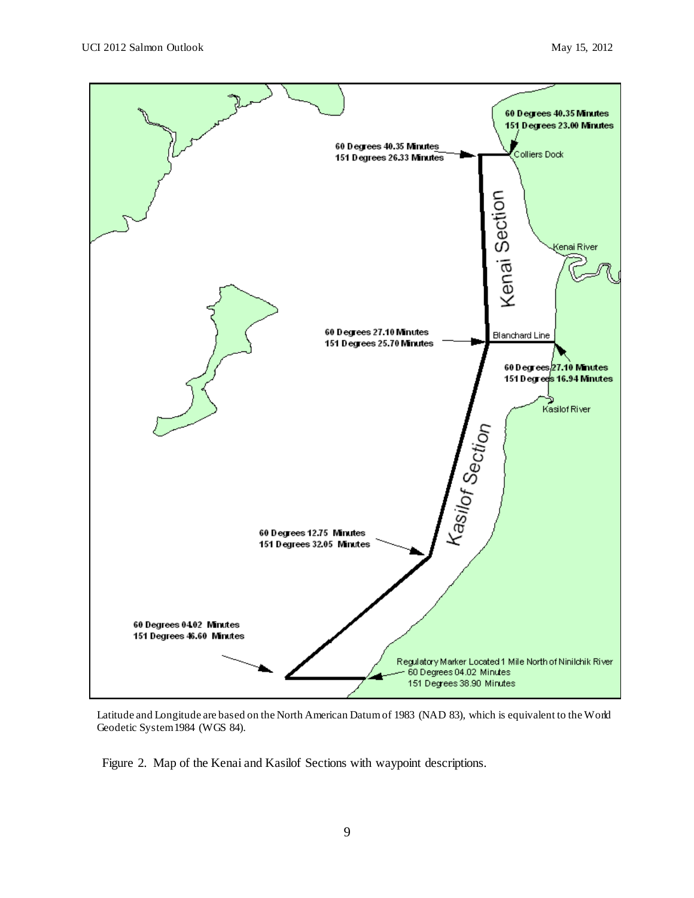

Latitude and Longitude are based on the North American Datum of 1983 (NAD 83), which is equivalent to the World Geodetic System 1984 (WGS 84).

Figure 2. Map of the Kenai and Kasilof Sections with waypoint descriptions.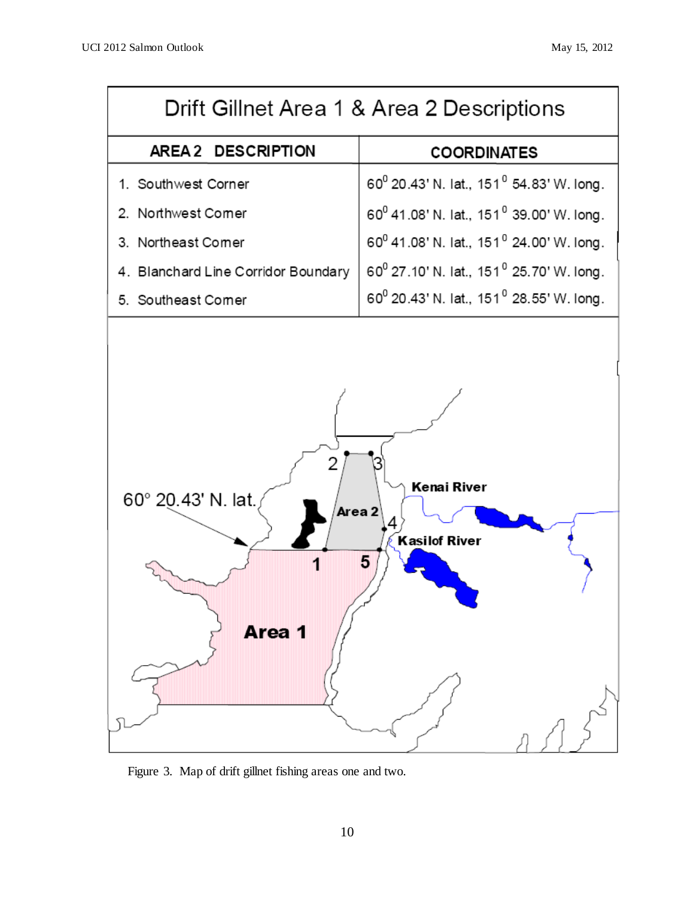| Drift Gillnet Area 1 & Area 2 Descriptions                                              |                                                                  |  |  |  |
|-----------------------------------------------------------------------------------------|------------------------------------------------------------------|--|--|--|
| AREA 2 DESCRIPTION                                                                      | <b>COORDINATES</b>                                               |  |  |  |
| 1. Southwest Corner                                                                     | 60 <sup>0</sup> 20.43' N. lat., 151 <sup>0</sup> 54.83' W. long. |  |  |  |
| 2. Northwest Comer                                                                      | 60 <sup>0</sup> 41.08' N. lat., 151 <sup>0</sup> 39.00' W. long. |  |  |  |
| 3. Northeast Comer                                                                      | 60 <sup>0</sup> 41.08' N. lat., 151 <sup>0</sup> 24.00' W. long. |  |  |  |
| 4. Blanchard Line Corridor Boundary                                                     | 60 <sup>0</sup> 27.10' N. lat., 151 <sup>0</sup> 25.70' W. long. |  |  |  |
| 5. Southeast Comer                                                                      | 60 <sup>0</sup> 20.43' N. lat., 151 <sup>0</sup> 28.55' W. long. |  |  |  |
|                                                                                         |                                                                  |  |  |  |
| Kenai River<br>60° 20.43' N. lat.<br>Area 2<br>4<br><b>Kasilof River</b><br>5<br>Area 1 |                                                                  |  |  |  |

Figure 3. Map of drift gillnet fishing areas one and two.